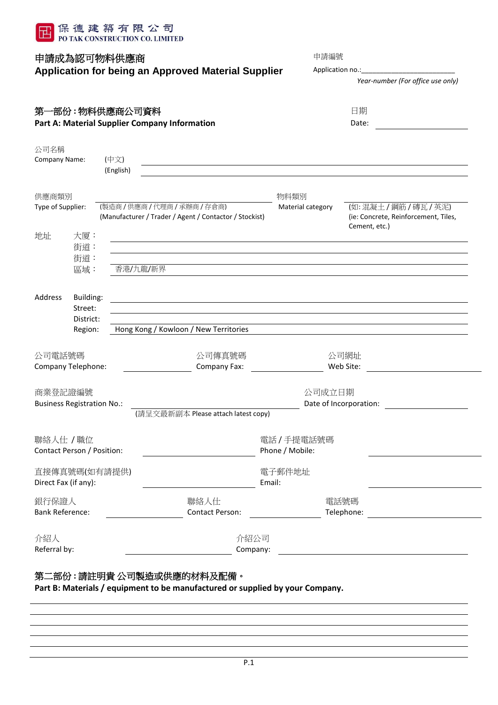

# 申請成為認可物料供應商 **Application for being an Approved Material Supplier**

| 申請成為認可物料供應商<br>Application for being an Approved Material Supplier | 申請編號<br>Application no.:<br>Year-number (For office use only) |  |
|--------------------------------------------------------------------|---------------------------------------------------------------|--|
| 第一部份:物料供應商公司資料                                                     | 日期                                                            |  |

| - 22 PRIVETTY INTERNATIONAL PRIVETTY                 | .     |
|------------------------------------------------------|-------|
| <b>Part A: Material Supplier Company Information</b> | Date: |

| 公司名稱<br>Company Name:                                   | (中文)<br>(English)          |                                                        |                                  |                                                                           |
|---------------------------------------------------------|----------------------------|--------------------------------------------------------|----------------------------------|---------------------------------------------------------------------------|
| 供應商類別<br>Type of Supplier:                              | (製造商/供應商/代理商/承辦商/存倉商)      | (Manufacturer / Trader / Agent / Contactor / Stockist) | 物料類別<br>Material category        | (如:混凝土/鋼筋/磚瓦/英泥)<br>(ie: Concrete, Reinforcement, Tiles,<br>Cement, etc.) |
| 地址<br>大厦:<br>街道:<br>街道:<br>區域:                          | 香港/九龍/新界                   |                                                        |                                  |                                                                           |
| Address<br>Building:<br>Street:<br>District:<br>Region: |                            | Hong Kong / Kowloon / New Territories                  |                                  |                                                                           |
| 公司電話號碼<br>Company Telephone:                            |                            | 公司傳真號碼<br>Company Fax:                                 |                                  | 公司網址<br>Web Site:                                                         |
| 商業登記證編號<br><b>Business Registration No.:</b>            |                            | (請呈交最新副本 Please attach latest copy)                    | 公司成立日期<br>Date of Incorporation: |                                                                           |
| 聯絡人仕 / 職位<br>Contact Person / Position:                 |                            |                                                        | 電話 / 手提電話號碼<br>Phone / Mobile:   |                                                                           |
| 直接傳真號碼(如有請提供)<br>Direct Fax (if any):                   |                            |                                                        | 電子郵件地址<br>Email:                 |                                                                           |
| 銀行保證人<br><b>Bank Reference:</b>                         |                            | 聯絡人仕<br>Contact Person:                                | 電話號碼                             |                                                                           |
| 介紹人<br>Referral by:                                     |                            | 介紹公司<br>Company:                                       |                                  |                                                                           |
|                                                         | 第二部份 : 請註明貴 公司製造或供應的材料及配備。 |                                                        |                                  |                                                                           |

**Part B: Materials / equipment to be manufactured or supplied by your Company.**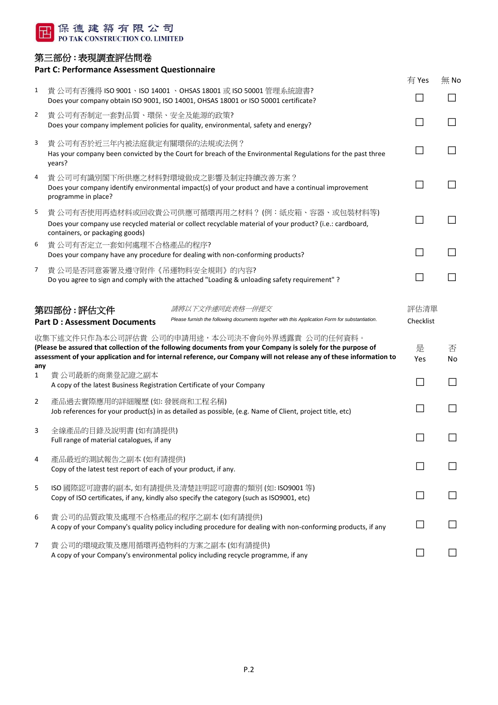

### 第三部份 **:** 表現調查評估問卷

## **Part C: Performance Assessment Questionnaire** 有 Yes 無 No 1 貴 公司有否獲得 ISO 9001、ISO 14001 、OHSAS 18001 或 ISO 50001 管理系統證書? Does your company obtain ISO 9001, ISO 14001, OHSAS 18001 or ISO 50001 certificate? □ □ 2 貴 公司有否制定一套對品質、環保、安全及能源的政策?  $\Box$ 3 貴 公司有否於近三年內被法庭裁定有關環保的法規或法例?  $\Box$  The  $\Box$  The  $\Box$  of  $\Box$  and  $\Box$  and  $\Box$  is the Court for breach of the Environmental Regulations for the past three  $\Box$   $\Box$ years? 4 貴 公司可有識別閣下所供應之材料對環境做成之影響及制定持續改善方案? Does your company identify environmental impact(s) of your product and have a continual improvement  $\Box$ programme in place? 5 貴 公司有否使用再造材料或回收貴公司供應可循環再用之材料 ? (例:紙皮箱、容器、或包裝材料等) Does your company use recycled material or collect recyclable material of your product? (i.e.: cardboard, □ □ containers, or packaging goods) 6 貴 公司有否定立一套如何處理不合格產品的程序? Does your company have any procedure for dealing with non-conforming products? □ □ 7 貴 公司是否同意簽署及遵守附件《吊運物料安全規則》的內容? Do you agree to sign and comply with the attached "Loading & unloading safety requirement" ? □ □ 5年**四部份 : 評估文件** 网络罗斯卡尔 医精神反应 计算机表格一件提交 医正面 计二进制 计二进制 计位清单 Part D : Assessment Documents *Please furnish the following documents together with this Application Form for substantiation.* Checklist 收集下述文件只作為本公司評估貴 公司的申請用途,本公司決不會向外界透露貴 公司的任何資料。 **(Please be assured that collection of the following documents from your Company is solely for the purpose of assessment of your application and for internal reference, our Company will not release any of these information to any** 是 Yes 否 No 1 貴 公司最新的商業登記證之副本 A copy of the latest Business Registration Certificate of your Company  $\Box$ 2 產品過去實際應用的詳細履歷 (如: 發展商和工程名稱) Job references for your product(s) in as detailed as possible, (e.g. Name of Client, project title, etc) □ □ □ 3 全線產品的目錄及說明書 (如有請提供)  $\Box$   $\Box$   $\Box$   $\Box$   $\Box$   $\Box$   $\Box$   $\Box$ 4 產品最近的測試報告之副本 (如有請提供) Copy of the latest test report of each of your product, if any. □ □ 5 ISO 國際認可證書的副本, 如有請提供及清楚註明認可證書的類別 (如: ISO9001 等) Copy of ISO certificates, if any, kindly also specify the category (such as ISO9001, etc)  $\Box$ 6 貴 公司的品質政策及處理不合格產品的程序之副本 (如有請提供) A copy of your Company's quality policy including procedure for dealing with non-conforming products, if any □

7 貴 公司的環境政策及應用循環再造物料的方案之副本 (如有請提供)  $\Box$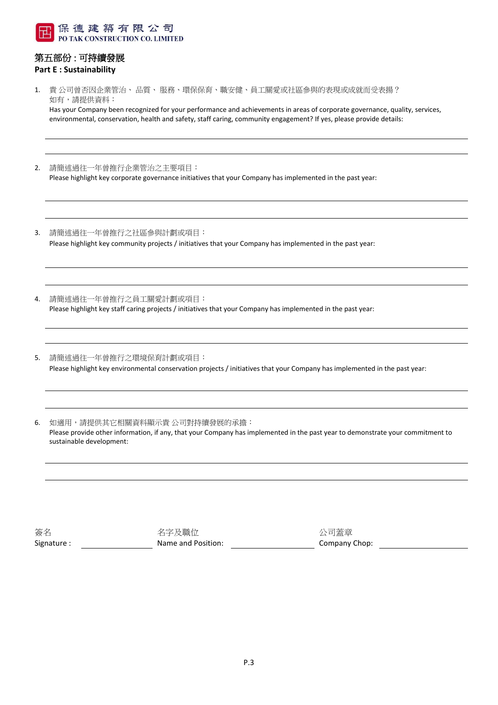

#### 第五部份 : 可持續發展 **Part E : Sustainability**

1. 貴 公司曾否因企業管治、 品質、 服務、環保保育、職安健、員工關愛或社區參與的表現或成就而受表揚? 如有,請提供資料:

Has your Company been recognized for your performance and achievements in areas of corporate governance, quality, services, environmental, conservation, health and safety, staff caring, community engagement? If yes, please provide details:

- 2. 請簡述過往一年曾推行企業管治之主要項目: Please highlight key corporate governance initiatives that your Company has implemented in the past year:
- 3. 請簡述過往一年曾推行之社區參與計劃或項目: Please highlight key community projects / initiatives that your Company has implemented in the past year:
- 4. 請簡述過往一年曾推行之員工關愛計劃或項目: Please highlight key staff caring projects / initiatives that your Company has implemented in the past year:
- 5. 請簡述過往一年曾推行之環境保育計劃或項目: Please highlight key environmental conservation projects / initiatives that your Company has implemented in the past year:
- 6. 如適用,請提供其它相關資料顯示貴 公司對持續發展的承擔: Please provide other information, if any, that your Company has implemented in the past year to demonstrate your commitment to sustainable development:

| Signature:<br>Name and Position: | Company Chop: |  |
|----------------------------------|---------------|--|
| 簽名<br>名字及職位                      | 公司蓋章          |  |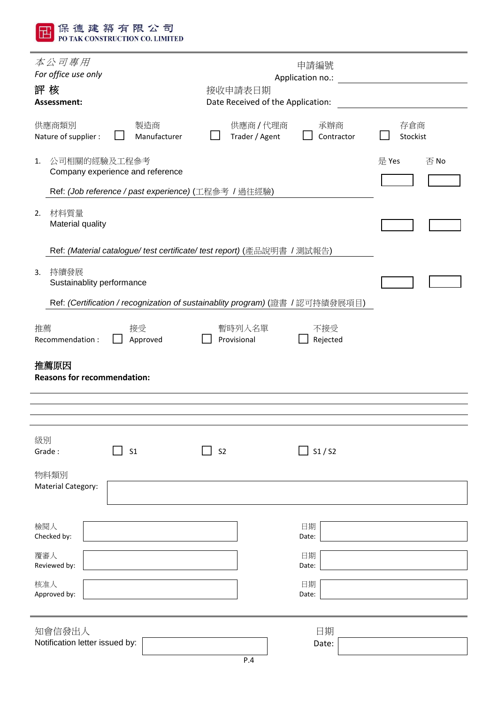| <b>PO TAK CONSTRUCTION CO. LIMITED</b>                                  |                                                                               |                 |  |  |  |
|-------------------------------------------------------------------------|-------------------------------------------------------------------------------|-----------------|--|--|--|
| 本公司專用<br>For office use only                                            | 申請編號<br>Application no.:                                                      |                 |  |  |  |
| 評核<br>Assessment:                                                       | 接收申請表日期<br>Date Received of the Application:                                  |                 |  |  |  |
| 供應商類別<br>製造商<br>Nature of supplier :<br>Manufacturer                    | 供應商/代理商<br>承辦商<br>Trader / Agent<br>Contractor                                | 存倉商<br>Stockist |  |  |  |
| 公司相關的經驗及工程參考<br>1.<br>Company experience and reference                  |                                                                               | 是 Yes<br>否No    |  |  |  |
| Ref: (Job reference / past experience) (工程參考 / 過往經驗)                    |                                                                               |                 |  |  |  |
| 材料質量<br>2.<br>Material quality                                          |                                                                               |                 |  |  |  |
| Ref: (Material catalogue/ test certificate/ test report) (產品說明書 / 測試報告) |                                                                               |                 |  |  |  |
| 持續發展<br>3.<br>Sustainablity performance                                 |                                                                               |                 |  |  |  |
|                                                                         | Ref: (Certification / recognization of sustainablity program) (證書 / 認可持績發展項目) |                 |  |  |  |
| 推薦<br>接受<br>Recommendation:<br>Approved                                 | 暫時列入名單<br>不接受<br>Provisional<br>Rejected                                      |                 |  |  |  |
| 推薦原因<br><b>Reasons for recommendation:</b>                              |                                                                               |                 |  |  |  |
|                                                                         |                                                                               |                 |  |  |  |
|                                                                         |                                                                               |                 |  |  |  |
| 級別<br>S <sub>1</sub><br>Grade:                                          | S1/S2<br>S <sub>2</sub>                                                       |                 |  |  |  |
| 物料類別<br>Material Category:                                              |                                                                               |                 |  |  |  |
|                                                                         |                                                                               |                 |  |  |  |
| 檢閱人<br>Checked by:                                                      | 日期<br>Date:                                                                   |                 |  |  |  |
| 覆審人<br>Reviewed by:                                                     | 日期<br>Date:                                                                   |                 |  |  |  |
| 核准人                                                                     | 日期                                                                            |                 |  |  |  |
| Approved by:                                                            | Date:                                                                         |                 |  |  |  |
| 知會信發出人                                                                  | 日期                                                                            |                 |  |  |  |
| Notification letter issued by:                                          | Date:<br>P.4                                                                  |                 |  |  |  |

田保德建築有限公司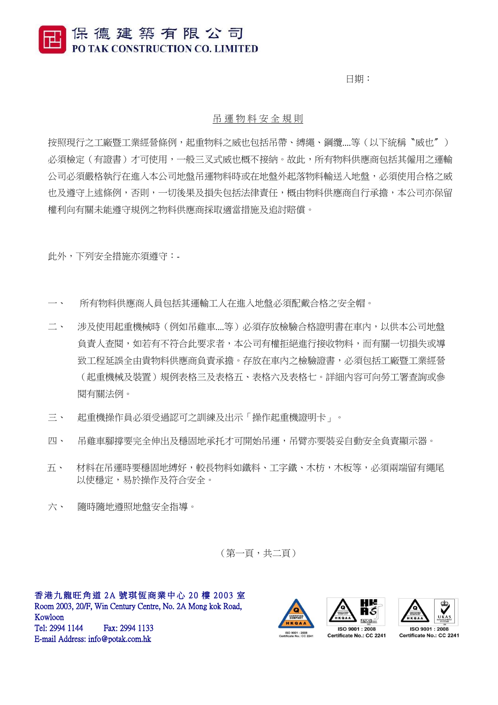保德建築有限公司 PO TAK CONSTRUCTION CO. LIMITED

日期:

#### 吊 運 物 料 安 全 規 則

按照現行之工廠暨工業經營條例,起重物料之威也包括吊帶、縛繩、鋼纜....等(以下統稱〝威也〞) 必須檢定(有證書)才可使用,一般三叉式威也概不接納。故此,所有物料供應商包括其僱用之運輸 公司必須嚴格執行在進入本公司地盤吊運物料時或在地盤外起落物料輸送入地盤,必須使用合格之威 也及遵守上述條例,否則,一切後果及損失包括法律責任,概由物料供應商自行承擔,本公司亦保留 權利向有關未能遵守規例之物料供應商採取適當措施及追討賠償。

此外,下列安全措施亦須遵守:-

- 所有物料供應商人員包括其運輸工人在進入地盤必須配載合格之安全帽。
- 二、 涉及使用起重機械時(例如吊雞車....等)必須存放檢驗合格證明書在車內,以供本公司地盤 負責人查閱,如若有不符合此要求者,本公司有權拒絕進行接收物料,而有關一切損失或導 致工程延誤全由貴物料供應商負責承擔。存放在車內之檢驗證書,必須包括工廠暨工業經營 (起重機械及裝置)規例表格三及表格五、表格六及表格七。詳細內容可向勞工署查詢或參 閱有關法例。
- 三、 起重機操作員必須受過認可之訓練及出示「操作起重機證明卡」。
- 四、 吊雞車腳撐要完全伸出及穩固地承托才可開始吊運,吊臂亦要裝妥自動安全負責顯示器。
- 五、 材料在吊運時要穩固地縛好,較長物料如鐵料、工字鐵、木枋,木板等,必須兩端留有繩尾 以使穩定,易於操作及符合安全。
- 六、 隨時隨地遵照地盤安全指導。

(第一頁,共二頁)

香港九龍旺角道 2A 號琪恆商業中心 20 樓 2003 室 Room 2003, 20/F, Win Century Centre, No. 2A Mong kok Road, Kowloon Tel: 2994 1144 Fax: 2994 1133 E-mail Address: info@potak.com.hk









Certificate No.: CC 2241